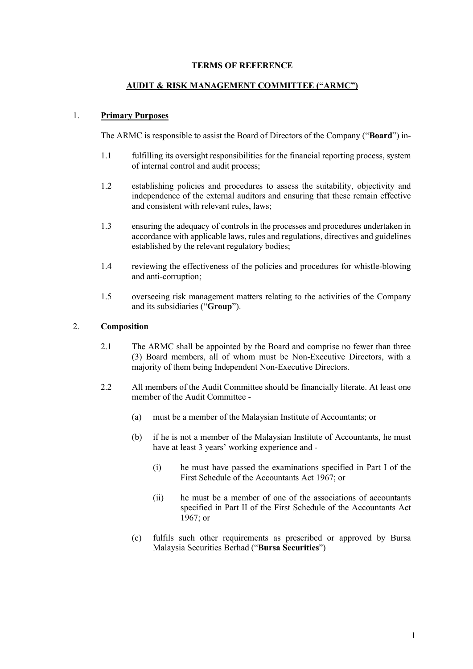### TERMS OF REFERENCE

#### AUDIT & RISK MANAGEMENT COMMITTEE ("ARMC")

#### 1. Primary Purposes

The ARMC is responsible to assist the Board of Directors of the Company ("Board") in-

- 1.1 fulfilling its oversight responsibilities for the financial reporting process, system of internal control and audit process;
- 1.2 establishing policies and procedures to assess the suitability, objectivity and independence of the external auditors and ensuring that these remain effective and consistent with relevant rules, laws;
- 1.3 ensuring the adequacy of controls in the processes and procedures undertaken in accordance with applicable laws, rules and regulations, directives and guidelines established by the relevant regulatory bodies;
- 1.4 reviewing the effectiveness of the policies and procedures for whistle-blowing and anti-corruption;
- 1.5 overseeing risk management matters relating to the activities of the Company and its subsidiaries ("Group").

#### 2. Composition

- 2.1 The ARMC shall be appointed by the Board and comprise no fewer than three (3) Board members, all of whom must be Non-Executive Directors, with a majority of them being Independent Non-Executive Directors.
- 2.2 All members of the Audit Committee should be financially literate. At least one member of the Audit Committee -
	- (a) must be a member of the Malaysian Institute of Accountants; or
	- (b) if he is not a member of the Malaysian Institute of Accountants, he must have at least 3 years' working experience and -
		- (i) he must have passed the examinations specified in Part I of the First Schedule of the Accountants Act 1967; or
		- (ii) he must be a member of one of the associations of accountants specified in Part II of the First Schedule of the Accountants Act 1967; or
	- (c) fulfils such other requirements as prescribed or approved by Bursa Malaysia Securities Berhad ("Bursa Securities")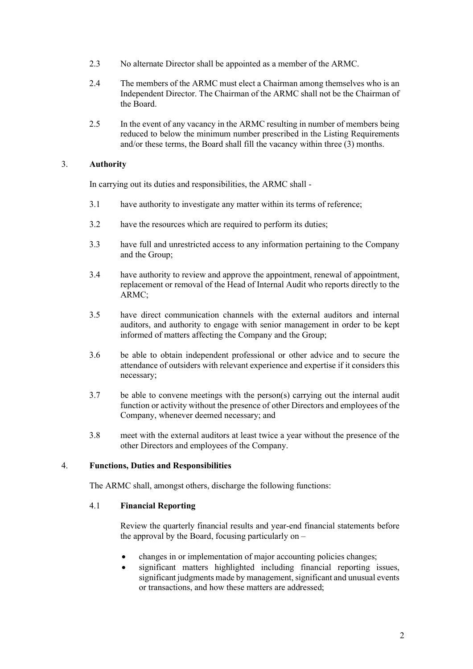- 2.3 No alternate Director shall be appointed as a member of the ARMC.
- 2.4 The members of the ARMC must elect a Chairman among themselves who is an Independent Director. The Chairman of the ARMC shall not be the Chairman of the Board.
- 2.5 In the event of any vacancy in the ARMC resulting in number of members being reduced to below the minimum number prescribed in the Listing Requirements and/or these terms, the Board shall fill the vacancy within three (3) months.

### 3. Authority

In carrying out its duties and responsibilities, the ARMC shall -

- 3.1 have authority to investigate any matter within its terms of reference;
- 3.2 have the resources which are required to perform its duties;
- 3.3 have full and unrestricted access to any information pertaining to the Company and the Group;
- 3.4 have authority to review and approve the appointment, renewal of appointment, replacement or removal of the Head of Internal Audit who reports directly to the ARMC;
- 3.5 have direct communication channels with the external auditors and internal auditors, and authority to engage with senior management in order to be kept informed of matters affecting the Company and the Group;
- 3.6 be able to obtain independent professional or other advice and to secure the attendance of outsiders with relevant experience and expertise if it considers this necessary;
- 3.7 be able to convene meetings with the person(s) carrying out the internal audit function or activity without the presence of other Directors and employees of the Company, whenever deemed necessary; and
- 3.8 meet with the external auditors at least twice a year without the presence of the other Directors and employees of the Company.

### 4. Functions, Duties and Responsibilities

The ARMC shall, amongst others, discharge the following functions:

### 4.1 Financial Reporting

 Review the quarterly financial results and year-end financial statements before the approval by the Board, focusing particularly on  $-$ 

- changes in or implementation of major accounting policies changes;
- significant matters highlighted including financial reporting issues, significant judgments made by management, significant and unusual events or transactions, and how these matters are addressed;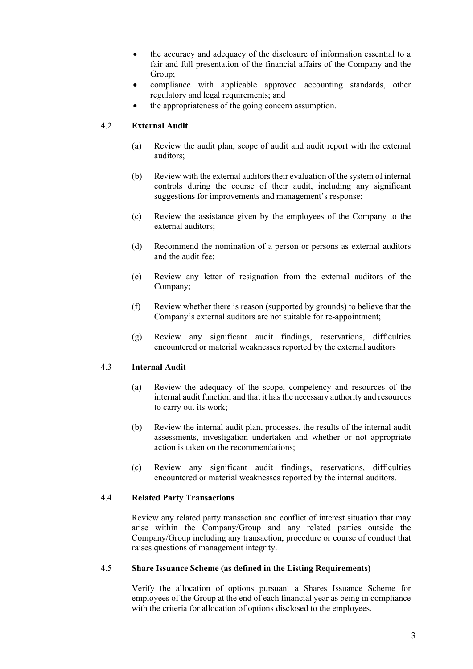- the accuracy and adequacy of the disclosure of information essential to a fair and full presentation of the financial affairs of the Company and the Group;
- compliance with applicable approved accounting standards, other regulatory and legal requirements; and
- the appropriateness of the going concern assumption.

# 4.2 External Audit

- (a) Review the audit plan, scope of audit and audit report with the external auditors;
- (b) Review with the external auditors their evaluation of the system of internal controls during the course of their audit, including any significant suggestions for improvements and management's response;
- (c) Review the assistance given by the employees of the Company to the external auditors;
- (d) Recommend the nomination of a person or persons as external auditors and the audit fee;
- (e) Review any letter of resignation from the external auditors of the Company;
- (f) Review whether there is reason (supported by grounds) to believe that the Company's external auditors are not suitable for re-appointment;
- (g) Review any significant audit findings, reservations, difficulties encountered or material weaknesses reported by the external auditors

### 4.3 Internal Audit

- (a) Review the adequacy of the scope, competency and resources of the internal audit function and that it has the necessary authority and resources to carry out its work;
- (b) Review the internal audit plan, processes, the results of the internal audit assessments, investigation undertaken and whether or not appropriate action is taken on the recommendations;
- (c) Review any significant audit findings, reservations, difficulties encountered or material weaknesses reported by the internal auditors.

### 4.4 Related Party Transactions

 Review any related party transaction and conflict of interest situation that may arise within the Company/Group and any related parties outside the Company/Group including any transaction, procedure or course of conduct that raises questions of management integrity.

### 4.5 Share Issuance Scheme (as defined in the Listing Requirements)

 Verify the allocation of options pursuant a Shares Issuance Scheme for employees of the Group at the end of each financial year as being in compliance with the criteria for allocation of options disclosed to the employees.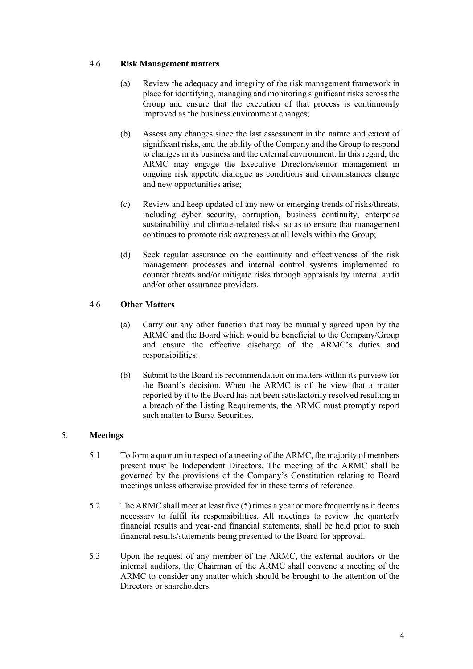### 4.6 Risk Management matters

- (a) Review the adequacy and integrity of the risk management framework in place for identifying, managing and monitoring significant risks across the Group and ensure that the execution of that process is continuously improved as the business environment changes;
- (b) Assess any changes since the last assessment in the nature and extent of significant risks, and the ability of the Company and the Group to respond to changes in its business and the external environment. In this regard, the ARMC may engage the Executive Directors/senior management in ongoing risk appetite dialogue as conditions and circumstances change and new opportunities arise;
- (c) Review and keep updated of any new or emerging trends of risks/threats, including cyber security, corruption, business continuity, enterprise sustainability and climate-related risks, so as to ensure that management continues to promote risk awareness at all levels within the Group;
- (d) Seek regular assurance on the continuity and effectiveness of the risk management processes and internal control systems implemented to counter threats and/or mitigate risks through appraisals by internal audit and/or other assurance providers.

# 4.6 Other Matters

- (a) Carry out any other function that may be mutually agreed upon by the ARMC and the Board which would be beneficial to the Company/Group and ensure the effective discharge of the ARMC's duties and responsibilities;
- (b) Submit to the Board its recommendation on matters within its purview for the Board's decision. When the ARMC is of the view that a matter reported by it to the Board has not been satisfactorily resolved resulting in a breach of the Listing Requirements, the ARMC must promptly report such matter to Bursa Securities.

# 5. Meetings

- 5.1 To form a quorum in respect of a meeting of the ARMC, the majority of members present must be Independent Directors. The meeting of the ARMC shall be governed by the provisions of the Company's Constitution relating to Board meetings unless otherwise provided for in these terms of reference.
- 5.2 The ARMC shall meet at least five (5) times a year or more frequently as it deems necessary to fulfil its responsibilities. All meetings to review the quarterly financial results and year-end financial statements, shall be held prior to such financial results/statements being presented to the Board for approval.
- 5.3 Upon the request of any member of the ARMC, the external auditors or the internal auditors, the Chairman of the ARMC shall convene a meeting of the ARMC to consider any matter which should be brought to the attention of the Directors or shareholders.